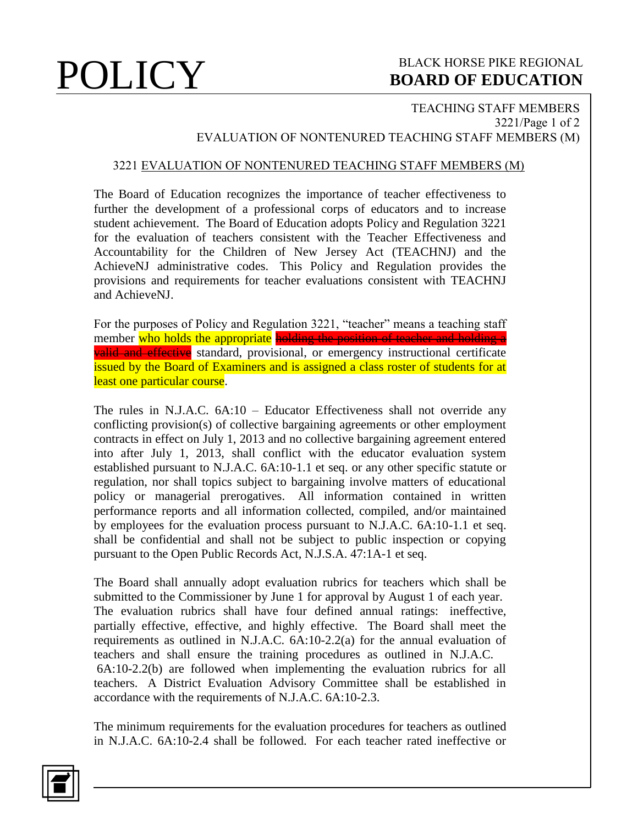# **POLICY** BOARD OF EDUCATION **BOARD OF EDUCATION**

## TEACHING STAFF MEMBERS 3221/Page 1 of 2 EVALUATION OF NONTENURED TEACHING STAFF MEMBERS (M)

### 3221 EVALUATION OF NONTENURED TEACHING STAFF MEMBERS (M)

The Board of Education recognizes the importance of teacher effectiveness to further the development of a professional corps of educators and to increase student achievement. The Board of Education adopts Policy and Regulation 3221 for the evaluation of teachers consistent with the Teacher Effectiveness and Accountability for the Children of New Jersey Act (TEACHNJ) and the AchieveNJ administrative codes. This Policy and Regulation provides the provisions and requirements for teacher evaluations consistent with TEACHNJ and AchieveNJ.

For the purposes of Policy and Regulation 3221, "teacher" means a teaching staff member who holds the appropriate holding the position of teacher and holding a valid and effective standard, provisional, or emergency instructional certificate issued by the Board of Examiners and is assigned a class roster of students for at least one particular course.

The rules in N.J.A.C. 6A:10 – Educator Effectiveness shall not override any conflicting provision(s) of collective bargaining agreements or other employment contracts in effect on July 1, 2013 and no collective bargaining agreement entered into after July 1, 2013, shall conflict with the educator evaluation system established pursuant to N.J.A.C. 6A:10-1.1 et seq. or any other specific statute or regulation, nor shall topics subject to bargaining involve matters of educational policy or managerial prerogatives. All information contained in written performance reports and all information collected, compiled, and/or maintained by employees for the evaluation process pursuant to N.J.A.C. 6A:10-1.1 et seq. shall be confidential and shall not be subject to public inspection or copying pursuant to the Open Public Records Act, N.J.S.A. 47:1A-1 et seq.

The Board shall annually adopt evaluation rubrics for teachers which shall be submitted to the Commissioner by June 1 for approval by August 1 of each year. The evaluation rubrics shall have four defined annual ratings: ineffective, partially effective, effective, and highly effective. The Board shall meet the requirements as outlined in N.J.A.C. 6A:10-2.2(a) for the annual evaluation of teachers and shall ensure the training procedures as outlined in N.J.A.C. 6A:10-2.2(b) are followed when implementing the evaluation rubrics for all teachers. A District Evaluation Advisory Committee shall be established in accordance with the requirements of N.J.A.C. 6A:10-2.3.

The minimum requirements for the evaluation procedures for teachers as outlined in N.J.A.C. 6A:10-2.4 shall be followed. For each teacher rated ineffective or